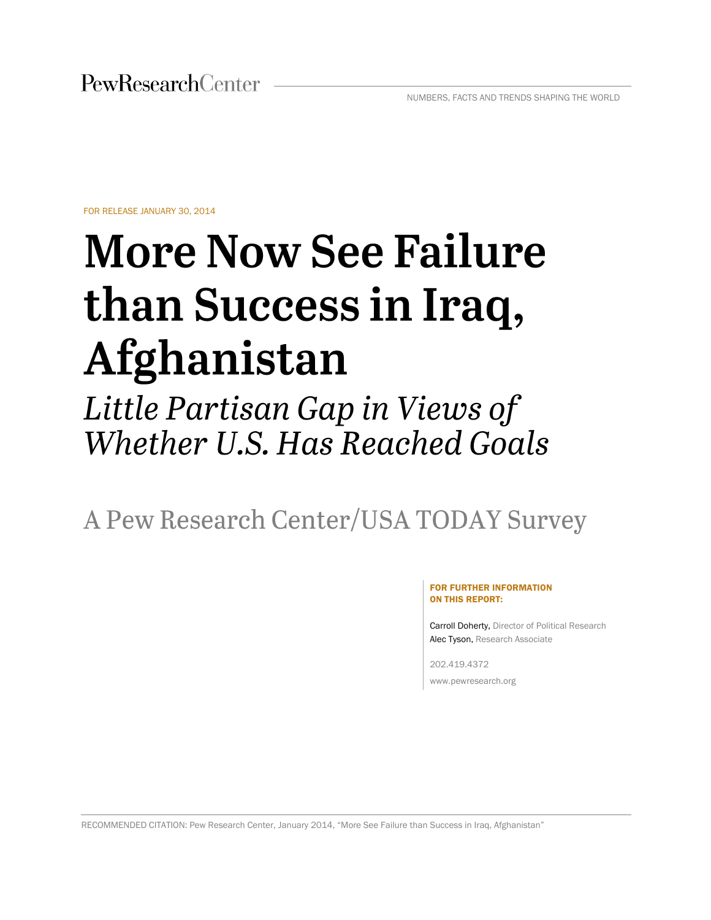FOR RELEASE JANUARY 30, 2014

# **More Now See Failure** than Success in Iraq, Afghanistan

## Little Partisan Gap in Views of Whether U.S. Has Reached Goals

A Pew Research Center/USA TODAY Survey

#### FOR FURTHER INFORMATION ON THIS REPORT:

Carroll Doherty, Director of Political Research Alec Tyson, Research Associate

202.419.4372 www.pewresearch.org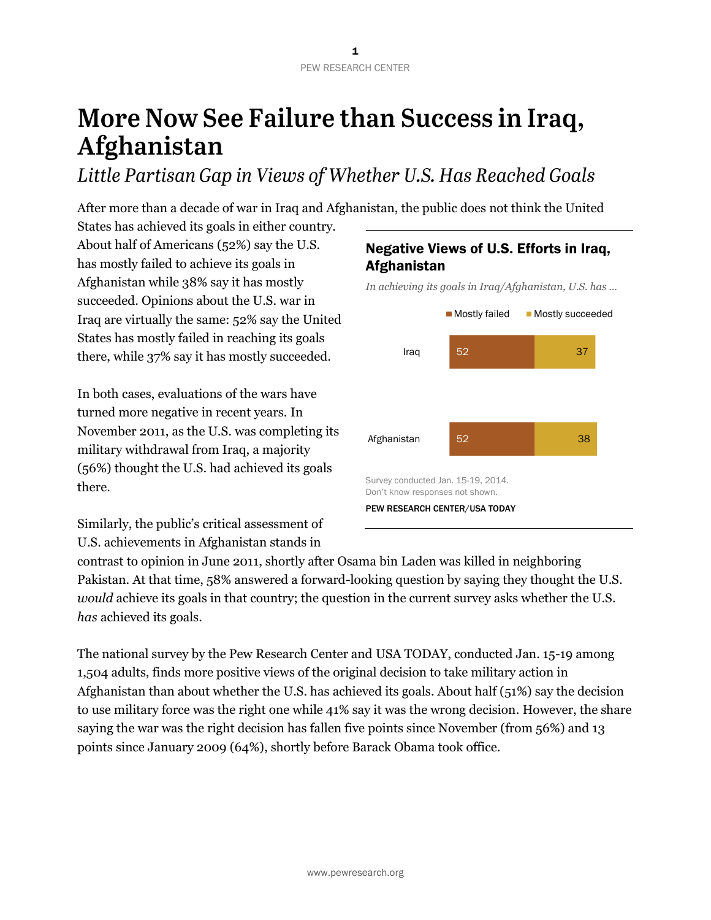## More Now See Failure than Success in Iraq, Afghanistan

Little Partisan Gap in Views of Whether U.S. Has Reached Goals

After more than a decade of war in Iraq and Afghanistan, the public does not think the United

States has achieved its goals in either country. About half of Americans (52%) say the U.S. has mostly failed to achieve its goals in Afghanistan while 38% say it has mostly succeeded. Opinions about the U.S. war in Iraq are virtually the same: 52% say the United States has mostly failed in reaching its goals there, while 37% say it has mostly succeeded.

In both cases, evaluations of the wars have turned more negative in recent years. In November 2011, as the U.S. was completing its military withdrawal from Iraq, a majority (56%) thought the U.S. had achieved its goals there.

Similarly, the public's critical assessment of U.S. achievements in Afghanistan stands in

## contrast to opinion in June 2011, shortly after Osama bin Laden was killed in neighboring Pakistan. At that time, 58% answered a forward-looking question by saying they thought the U.S. *would* achieve its goals in that country; the question in the current survey asks whether the U.S. *has* achieved its goals.

The national survey by the Pew Research Center and USA TODAY, conducted Jan. 15-19 among 1,504 adults, finds more positive views of the original decision to take military action in Afghanistan than about whether the U.S. has achieved its goals. About half (51%) say the decision to use military force was the right one while 41% say it was the wrong decision. However, the share saying the war was the right decision has fallen five points since November (from 56%) and 13 points since January 2009 (64%), shortly before Barack Obama took office.

## Negative Views of U.S. Efforts in Iraq, Afghanistan

*In achieving its goals in Iraq/Afghanistan, U.S. has …*

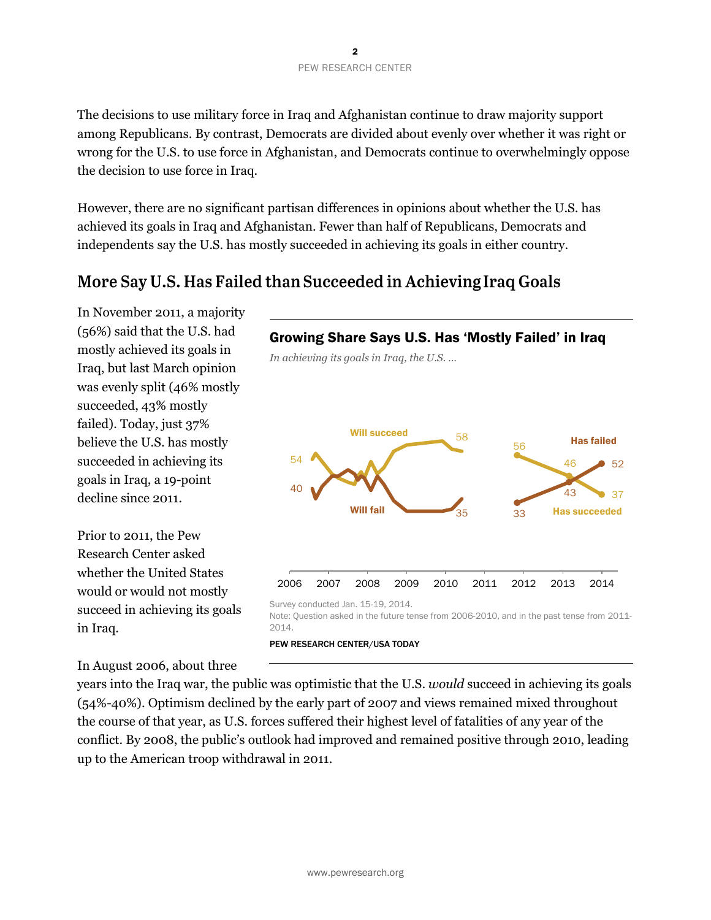The decisions to use military force in Iraq and Afghanistan continue to draw majority support among Republicans. By contrast, Democrats are divided about evenly over whether it was right or wrong for the U.S. to use force in Afghanistan, and Democrats continue to overwhelmingly oppose the decision to use force in Iraq.

However, there are no significant partisan differences in opinions about whether the U.S. has achieved its goals in Iraq and Afghanistan. Fewer than half of Republicans, Democrats and independents say the U.S. has mostly succeeded in achieving its goals in either country.

## More Say U.S. Has Failed than Succeeded in Achieving Iraq Goals

In November 2011, a majority (56%) said that the U.S. had mostly achieved its goals in Iraq, but last March opinion was evenly split (46% mostly succeeded, 43% mostly failed). Today, just 37% believe the U.S. has mostly succeeded in achieving its goals in Iraq, a 19-point decline since 2011.

Prior to 2011, the Pew Research Center asked whether the United States would or would not mostly succeed in achieving its goals in Iraq.



years into the Iraq war, the public was optimistic that the U.S. *would* succeed in achieving its goals (54%-40%). Optimism declined by the early part of 2007 and views remained mixed throughout the course of that year, as U.S. forces suffered their highest level of fatalities of any year of the conflict. By 2008, the public's outlook had improved and remained positive through 2010, leading up to the American troop withdrawal in 2011.

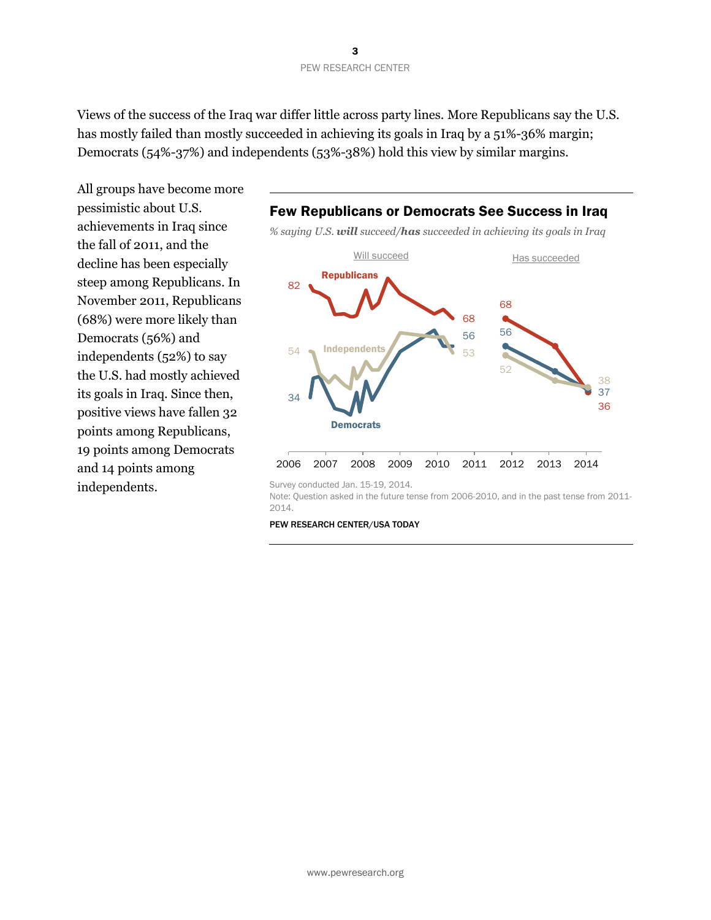Views of the success of the Iraq war differ little across party lines. More Republicans say the U.S. has mostly failed than mostly succeeded in achieving its goals in Iraq by a 51%-36% margin; Democrats (54%-37%) and independents (53%-38%) hold this view by similar margins.

All groups have become more pessimistic about U.S. achievements in Iraq since the fall of 2011, and the decline has been especially steep among Republicans. In November 2011, Republicans (68%) were more likely than Democrats (56%) and independents (52%) to say the U.S. had mostly achieved its goals in Iraq. Since then, positive views have fallen 32 points among Republicans, 19 points among Democrats and 14 points among independents.



PEW RESEARCH CENTER/USA TODAY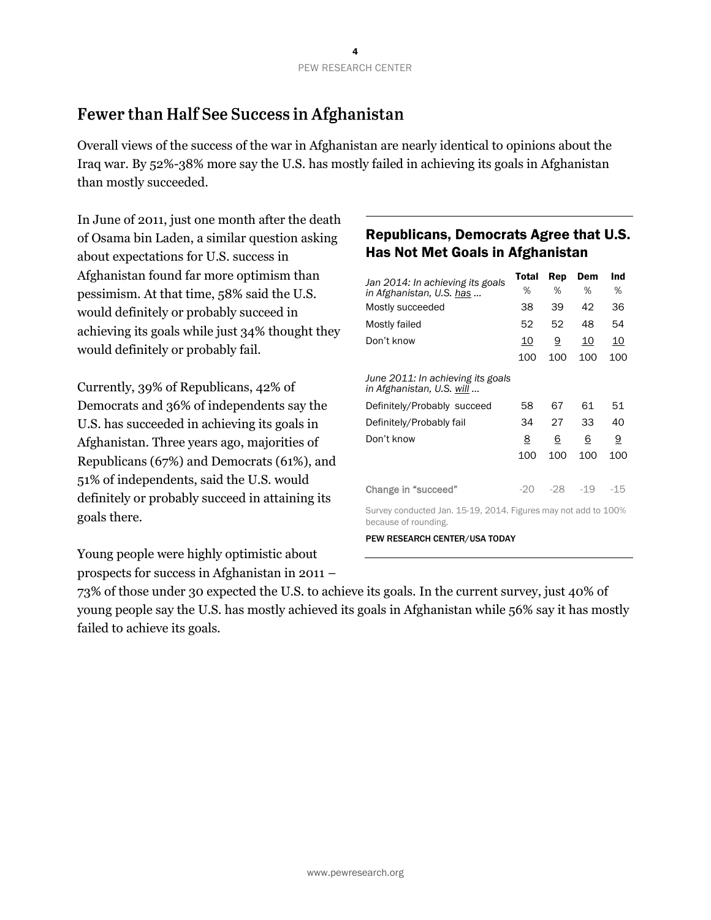## Fewer than Half See Success in Afghanistan

Overall views of the success of the war in Afghanistan are nearly identical to opinions about the Iraq war. By 52%-38% more say the U.S. has mostly failed in achieving its goals in Afghanistan than mostly succeeded.

In June of 2011, just one month after the death of Osama bin Laden, a similar question asking about expectations for U.S. success in Afghanistan found far more optimism than pessimism. At that time, 58% said the U.S. would definitely or probably succeed in achieving its goals while just 34% thought they would definitely or probably fail.

Currently, 39% of Republicans, 42% of Democrats and 36% of independents say the U.S. has succeeded in achieving its goals in Afghanistan. Three years ago, majorities of Republicans (67%) and Democrats (61%), and 51% of independents, said the U.S. would definitely or probably succeed in attaining its goals there.

Young people were highly optimistic about prospects for success in Afghanistan in 2011 –

### Republicans, Democrats Agree that U.S. Has Not Met Goals in Afghanistan

|                                                                       | Total     | Rep      | Dem        | Ind       |
|-----------------------------------------------------------------------|-----------|----------|------------|-----------|
| Jan 2014: In achieving its goals<br>in Afghanistan, U.S. has          | %         | %        | %          | %         |
| Mostly succeeded                                                      | 38        | 39       | 42         | 36        |
| Mostly failed                                                         | 52        | 52       | 48         | 54        |
| Don't know                                                            | <u>10</u> | <u>9</u> | <u> 10</u> | <u>10</u> |
|                                                                       | 100       | 100      | 100        | 100       |
| June 2011: In achieving its goals<br>in Afghanistan, U.S. <u>will</u> |           |          |            |           |
| Definitely/Probably succeed                                           | 58        | 67       | 61         | 51        |
| Definitely/Probably fail                                              | 34        | 27       | 33         | 40        |
| Don't know                                                            | <u>8</u>  | <u>6</u> | 6          | <u>9</u>  |
|                                                                       | 100       | 100      | 100        | 100       |
| Change in "succeed"                                                   | $-20$     | $-28$    | $-19$      | -15       |
| Survey conducted Jan 15.19 2014 Figures may not add to 100%           |           |          |            |           |

Survey conducted Jan. 15-19, 2014. Figures may not add to 100% because of rounding.

PEW RESEARCH CENTER/USA TODAY

73% of those under 30 expected the U.S. to achieve its goals. In the current survey, just 40% of young people say the U.S. has mostly achieved its goals in Afghanistan while 56% say it has mostly failed to achieve its goals.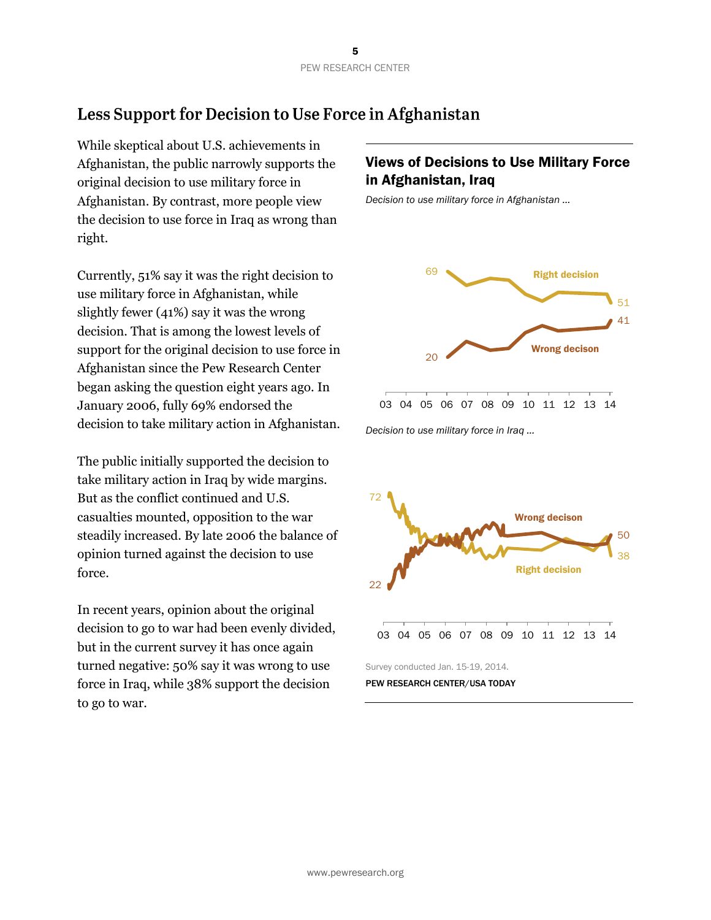## Less Support for Decision to Use Force in Afghanistan

While skeptical about U.S. achievements in Afghanistan, the public narrowly supports the original decision to use military force in Afghanistan. By contrast, more people view the decision to use force in Iraq as wrong than right.

Currently, 51% say it was the right decision to use military force in Afghanistan, while slightly fewer (41%) say it was the wrong decision. That is among the lowest levels of support for the original decision to use force in Afghanistan since the Pew Research Center began asking the question eight years ago. In January 2006, fully 69% endorsed the decision to take military action in Afghanistan.

The public initially supported the decision to take military action in Iraq by wide margins. But as the conflict continued and U.S. casualties mounted, opposition to the war steadily increased. By late 2006 the balance of opinion turned against the decision to use force.

In recent years, opinion about the original decision to go to war had been evenly divided, but in the current survey it has once again turned negative: 50% say it was wrong to use force in Iraq, while 38% support the decision to go to war.

### Views of Decisions to Use Military Force in Afghanistan, Iraq

*Decision to use military force in Afghanistan …*



*Decision to use military force in Iraq …*

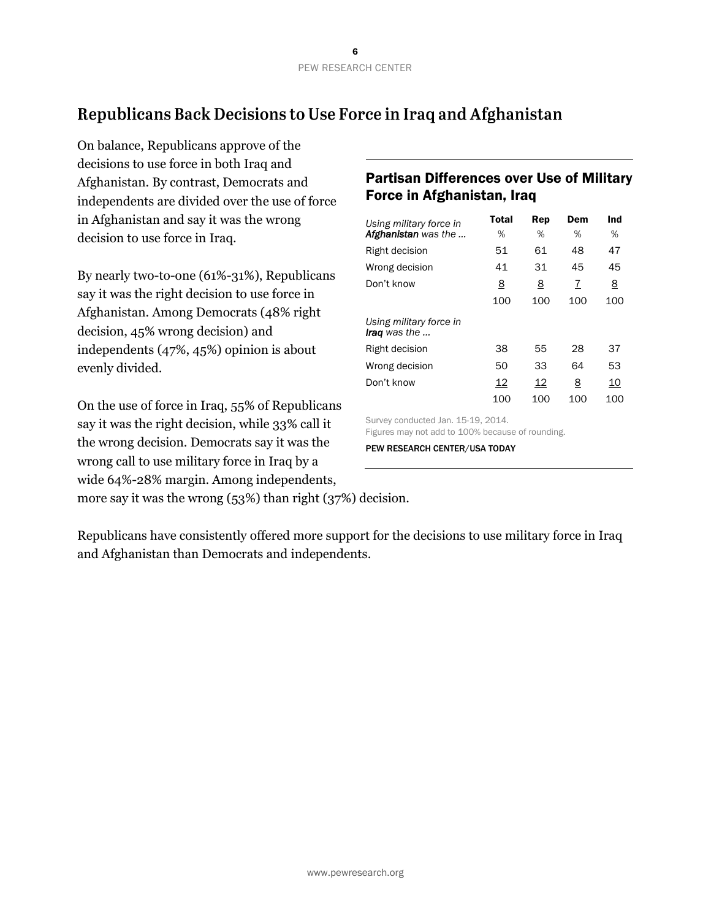## Republicans Back Decisions to Use Force in Iraq and Afghanistan

On balance, Republicans approve of the decisions to use force in both Iraq and Afghanistan. By contrast, Democrats and independents are divided over the use of force in Afghanistan and say it was the wrong decision to use force in Iraq.

By nearly two-to-one (61%-31%), Republicans say it was the right decision to use force in Afghanistan. Among Democrats (48% right decision, 45% wrong decision) and independents (47%, 45%) opinion is about evenly divided.

On the use of force in Iraq, 55% of Republicans say it was the right decision, while 33% call it the wrong decision. Democrats say it was the wrong call to use military force in Iraq by a wide 64%-28% margin. Among independents,

## Partisan Differences over Use of Military Force in Afghanistan, Iraq

| Using military force in                                                               | Total    | Rep      | Dem | Ind      |  |  |
|---------------------------------------------------------------------------------------|----------|----------|-----|----------|--|--|
| Afghanistan was the                                                                   | %        | %        | %   | %        |  |  |
| Right decision                                                                        | 51       | 61       | 48  | 47       |  |  |
| Wrong decision                                                                        | 41       | 31       | 45  | 45       |  |  |
| Don't know                                                                            | <u>8</u> | <u>8</u> | 7   | <u>8</u> |  |  |
|                                                                                       | 100      | 100      | 100 | 100      |  |  |
| Using military force in<br><b>Iraq</b> was the                                        |          |          |     |          |  |  |
| Right decision                                                                        | 38       | 55       | 28  | 37       |  |  |
| Wrong decision                                                                        | 50       | 33       | 64  | 53       |  |  |
| Don't know                                                                            | 12       | 12       | 8   | 10       |  |  |
|                                                                                       | 100      | 100      | 100 | 100      |  |  |
| Survey conducted Jan. 15-19, 2014.<br>Figures may not add to 100% because of reunding |          |          |     |          |  |  |

Figures may not add to 100% because of rounding.

PEW RESEARCH CENTER/USA TODAY

more say it was the wrong (53%) than right (37%) decision.

Republicans have consistently offered more support for the decisions to use military force in Iraq and Afghanistan than Democrats and independents.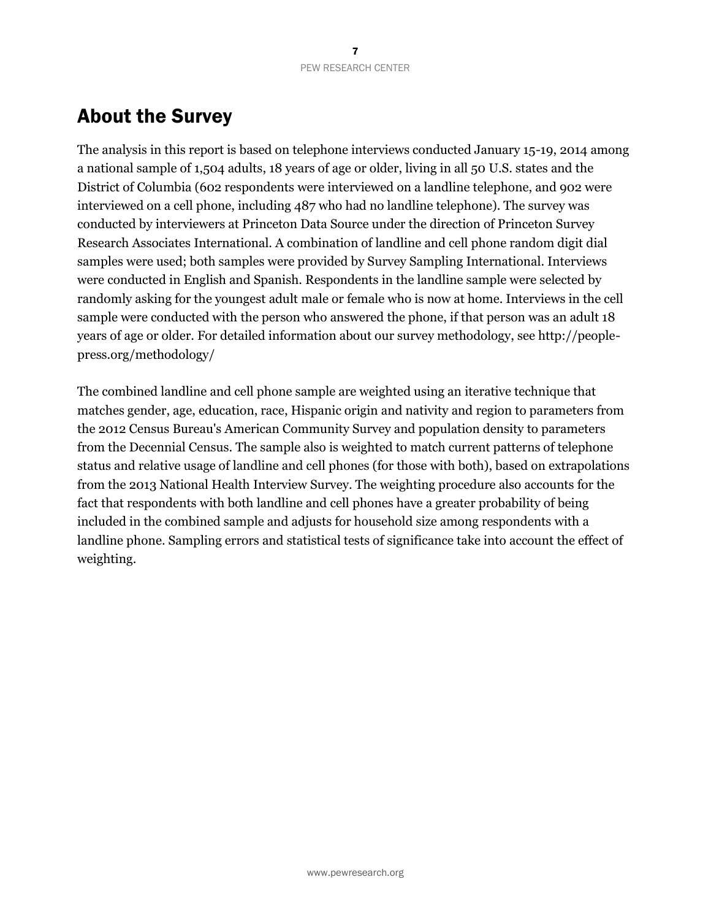## About the Survey

The analysis in this report is based on telephone interviews conducted January 15-19, 2014 among a national sample of 1,504 adults, 18 years of age or older, living in all 50 U.S. states and the District of Columbia (602 respondents were interviewed on a landline telephone, and 902 were interviewed on a cell phone, including 487 who had no landline telephone). The survey was conducted by interviewers at Princeton Data Source under the direction of Princeton Survey Research Associates International. A combination of landline and cell phone random digit dial samples were used; both samples were provided by Survey Sampling International. Interviews were conducted in English and Spanish. Respondents in the landline sample were selected by randomly asking for the youngest adult male or female who is now at home. Interviews in the cell sample were conducted with the person who answered the phone, if that person was an adult 18 years of age or older. For detailed information about our survey methodology, see http://peoplepress.org/methodology/

The combined landline and cell phone sample are weighted using an iterative technique that matches gender, age, education, race, Hispanic origin and nativity and region to parameters from the 2012 Census Bureau's American Community Survey and population density to parameters from the Decennial Census. The sample also is weighted to match current patterns of telephone status and relative usage of landline and cell phones (for those with both), based on extrapolations from the 2013 National Health Interview Survey. The weighting procedure also accounts for the fact that respondents with both landline and cell phones have a greater probability of being included in the combined sample and adjusts for household size among respondents with a landline phone. Sampling errors and statistical tests of significance take into account the effect of weighting.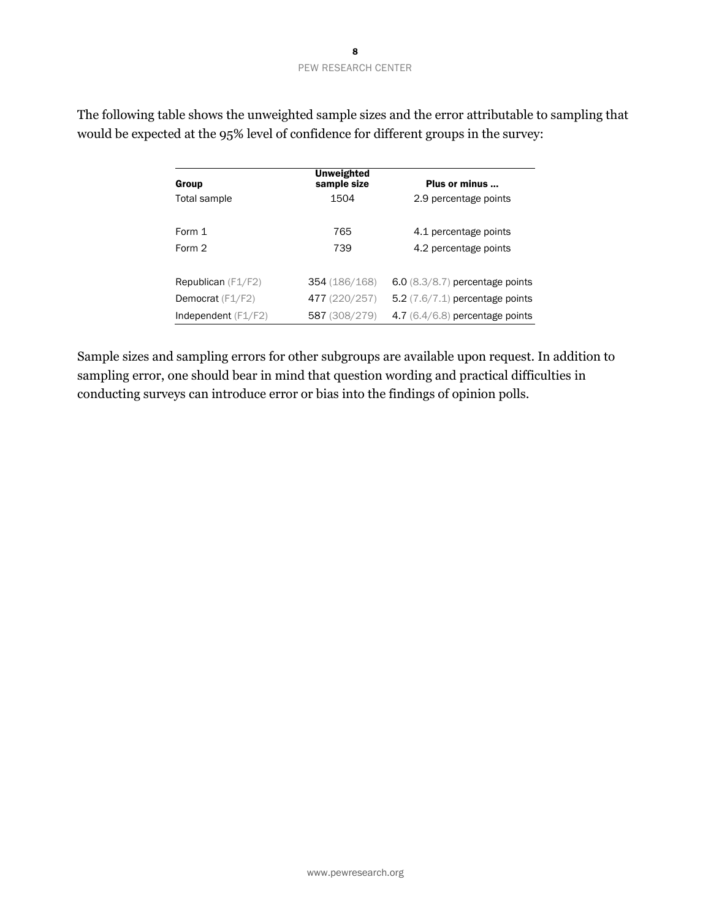| Group                       | <b>Unweighted</b><br>sample size | Plus or minus                     |
|-----------------------------|----------------------------------|-----------------------------------|
| Total sample                | 1504                             | 2.9 percentage points             |
|                             |                                  |                                   |
| Form 1                      | 765                              | 4.1 percentage points             |
| Form 2                      | 739                              | 4.2 percentage points             |
|                             |                                  |                                   |
| <b>Republican</b> $(F1/F2)$ | 354 (186/168)                    | $6.0$ (8.3/8.7) percentage points |
| Democrat (F1/F2)            | 477 (220/257)                    | 5.2 $(7.6/7.1)$ percentage points |
| Independent $(F1/F2)$       | 587 (308/279)                    | 4.7 (6.4/6.8) percentage points   |

The following table shows the unweighted sample sizes and the error attributable to sampling that would be expected at the 95% level of confidence for different groups in the survey:

Sample sizes and sampling errors for other subgroups are available upon request. In addition to sampling error, one should bear in mind that question wording and practical difficulties in conducting surveys can introduce error or bias into the findings of opinion polls.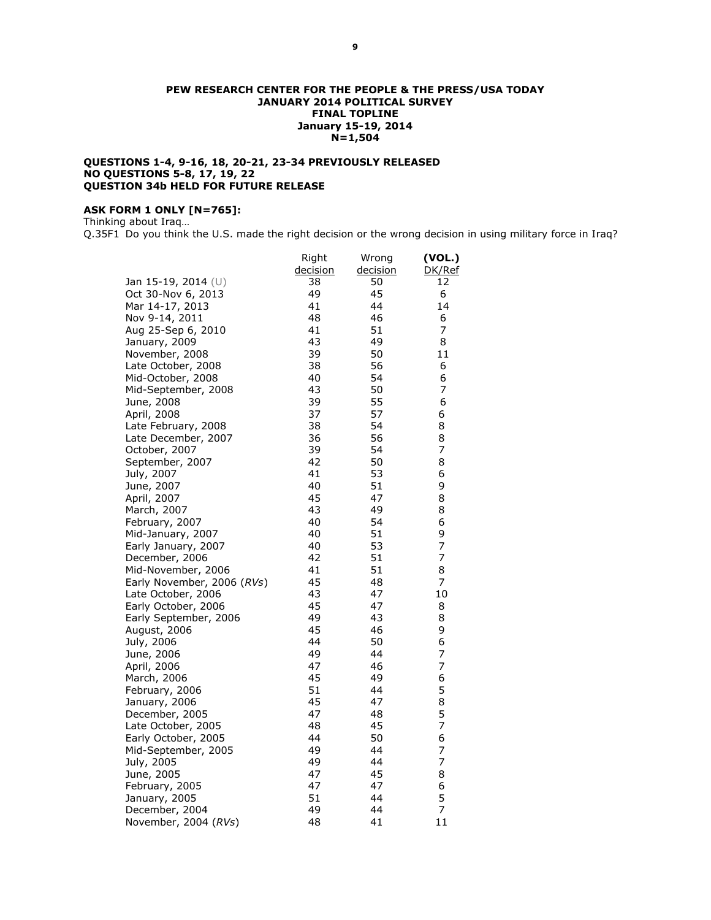#### **PEW RESEARCH CENTER FOR THE PEOPLE & THE PRESS/USA TODAY JANUARY 2014 POLITICAL SURVEY FINAL TOPLINE January 15-19, 2014 N=1,504**

#### **QUESTIONS 1-4, 9-16, 18, 20-21, 23-34 PREVIOUSLY RELEASED NO QUESTIONS 5-8, 17, 19, 22 QUESTION 34b HELD FOR FUTURE RELEASE**

#### **ASK FORM 1 ONLY [N=765]:**

Thinking about Iraq…

Q.35F1 Do you think the U.S. made the right decision or the wrong decision in using military force in Iraq?

|                            | Right    | Wrong    | (VOL.) |
|----------------------------|----------|----------|--------|
|                            | decision | decision | DK/Ref |
| Jan 15-19, 2014 (U)        | 38       | 50       | 12     |
| Oct 30-Nov 6, 2013         | 49       | 45       | 6      |
| Mar 14-17, 2013            | 41       | 44       | 14     |
| Nov 9-14, 2011             | 48       | 46       | 6      |
| Aug 25-Sep 6, 2010         | 41       | 51       | 7      |
| January, 2009              | 43       | 49       | 8      |
| November, 2008             | 39       | 50       | 11     |
| Late October, 2008         | 38       | 56       | 6      |
| Mid-October, 2008          | 40       | 54       | 6      |
| Mid-September, 2008        | 43       | 50       | 7      |
| June, 2008                 | 39       | 55       | 6      |
| April, 2008                | 37       | 57       | 6      |
| Late February, 2008        | 38       | 54       | 8      |
| Late December, 2007        | 36       | 56       | 8      |
| October, 2007              | 39       | 54       | 7      |
| September, 2007            | 42       | 50       | 8      |
| July, 2007                 | 41       | 53       | 6      |
| June, 2007                 | 40       | 51       | 9      |
| April, 2007                | 45       | 47       | 8      |
| March, 2007                | 43       | 49       | 8      |
| February, 2007             | 40       | 54       | 6      |
| Mid-January, 2007          | 40       | 51       | 9      |
| Early January, 2007        | 40       | 53       | 7      |
| December, 2006             | 42       | 51       | 7      |
| Mid-November, 2006         | 41       | 51       | 8      |
| Early November, 2006 (RVs) | 45       | 48       | 7      |
| Late October, 2006         | 43       | 47       | 10     |
| Early October, 2006        | 45       | 47       | 8      |
| Early September, 2006      | 49       | 43       | 8      |
| August, 2006               | 45       | 46       | 9      |
| July, 2006                 | 44       | 50       | 6      |
| June, 2006                 | 49       | 44       | 7      |
| April, 2006                | 47       | 46       | 7      |
| March, 2006                | 45       | 49       | 6      |
| February, 2006             | 51       | 44       | 5      |
| January, 2006              | 45       | 47       | 8      |
| December, 2005             | 47       | 48       | 5      |
| Late October, 2005         | 48       | 45       | 7      |
| Early October, 2005        | 44       | 50       | 6      |
| Mid-September, 2005        | 49       | 44       | 7      |
| July, 2005                 | 49       | 44       | 7      |
| June, 2005                 | 47       | 45       | 8      |
| February, 2005             | 47       | 47       | 6      |
| January, 2005              | 51       | 44       | 5      |
| December, 2004             | 49       | 44       | 7      |
| November, 2004 (RVs)       | 48       | 41       | 11     |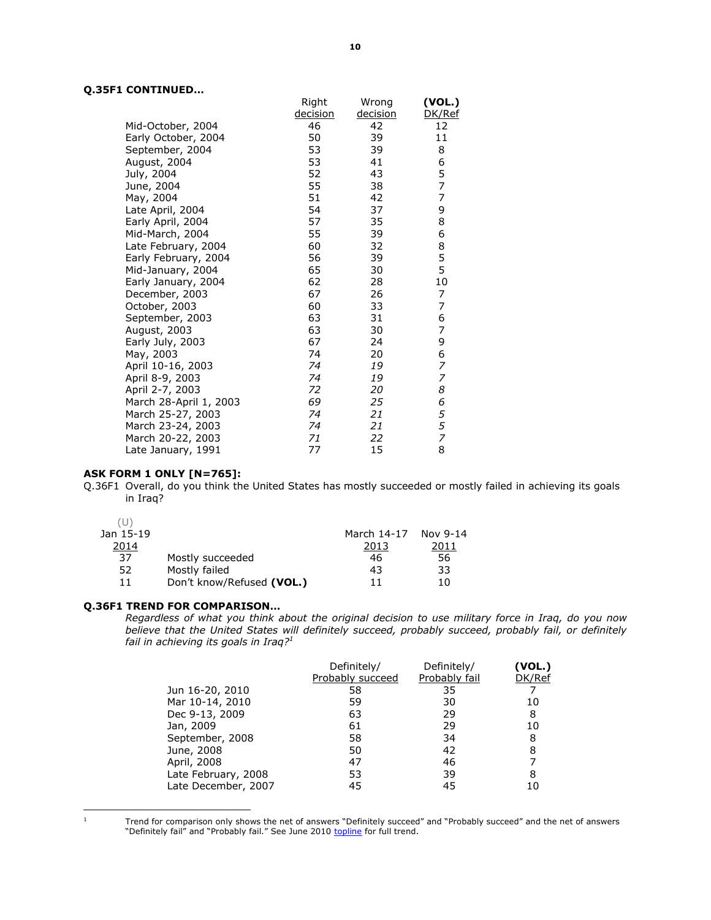#### **Q.35F1 CONTINUED…**

|                        | Right           | Wrong           | (VOL.)         |
|------------------------|-----------------|-----------------|----------------|
|                        | <u>decision</u> | <u>decision</u> | DK/Ref         |
| Mid-October, 2004      | 46              | 42              | 12             |
| Early October, 2004    | 50              | 39              | 11             |
| September, 2004        | 53              | 39              | 8              |
| August, 2004           | 53              | 41              | 6              |
| July, 2004             | 52              | 43              | 5              |
| June, 2004             | 55              | 38              | $\overline{7}$ |
| May, 2004              | 51              | 42              | 7              |
| Late April, 2004       | 54              | 37              | 9              |
| Early April, 2004      | 57              | 35              | 8              |
| Mid-March, 2004        | 55              | 39              | 6              |
| Late February, 2004    | 60              | 32              | 8              |
| Early February, 2004   | 56              | 39              | 5              |
| Mid-January, 2004      | 65              | 30              | 5              |
| Early January, 2004    | 62              | 28              | 10             |
| December, 2003         | 67              | 26              | 7              |
| October, 2003          | 60              | 33              | 7              |
| September, 2003        | 63              | 31              | 6              |
| August, 2003           | 63              | 30              | 7              |
| Early July, 2003       | 67              | 24              | 9              |
| May, 2003              | 74              | 20              | 6              |
| April 10-16, 2003      | 74              | 19              | 7              |
| April 8-9, 2003        | 74              | 19              | 7              |
| April 2-7, 2003        | 72              | 20              | 8              |
| March 28-April 1, 2003 | 69              | 25              | 6              |
| March 25-27, 2003      | 74              | 21              | 5              |
| March 23-24, 2003      | 74              | 21              | 5              |
| March 20-22, 2003      | 71              | 22              | $\overline{z}$ |
| Late January, 1991     | 77              | 15              | 8              |

#### **ASK FORM 1 ONLY [N=765]:**

Q.36F1 Overall, do you think the United States has mostly succeeded or mostly failed in achieving its goals in Iraq?

| Nov 9-14 |                     |
|----------|---------------------|
| 2011     |                     |
| 56<br>46 |                     |
| 33<br>43 |                     |
| 11<br>10 |                     |
|          | March 14-17<br>2013 |

#### **Q.36F1 TREND FOR COMPARISON…**

*Regardless of what you think about the original decision to use military force in Iraq, do you now believe that the United States will definitely succeed, probably succeed, probably fail, or definitely fail in achieving its goals in Iraq?<sup>1</sup>*

|                     | Definitely/      | Definitely/   | (VOL.) |
|---------------------|------------------|---------------|--------|
|                     | Probably succeed | Probably fail | DK/Ref |
| Jun 16-20, 2010     | 58               | 35            |        |
| Mar 10-14, 2010     | 59               | 30            | 10     |
| Dec 9-13, 2009      | 63               | 29            | 8      |
| Jan, 2009           | 61               | 29            | 10     |
| September, 2008     | 58               | 34            | 8      |
| June, 2008          | 50               | 42            | 8      |
| April, 2008         | 47               | 46            |        |
| Late February, 2008 | 53               | 39            | 8      |
| Late December, 2007 | 45               | 45            | 10     |

 $\frac{1}{1}$ 

Trend for comparison only shows the net of answers "Definitely succeed" and "Probably succeed" and the net of answers "Definitely fail" and "Probably fail." See June 2010 [topline](http://www.people-press.org/files/legacy-questionnaires/627.pdf) for full trend.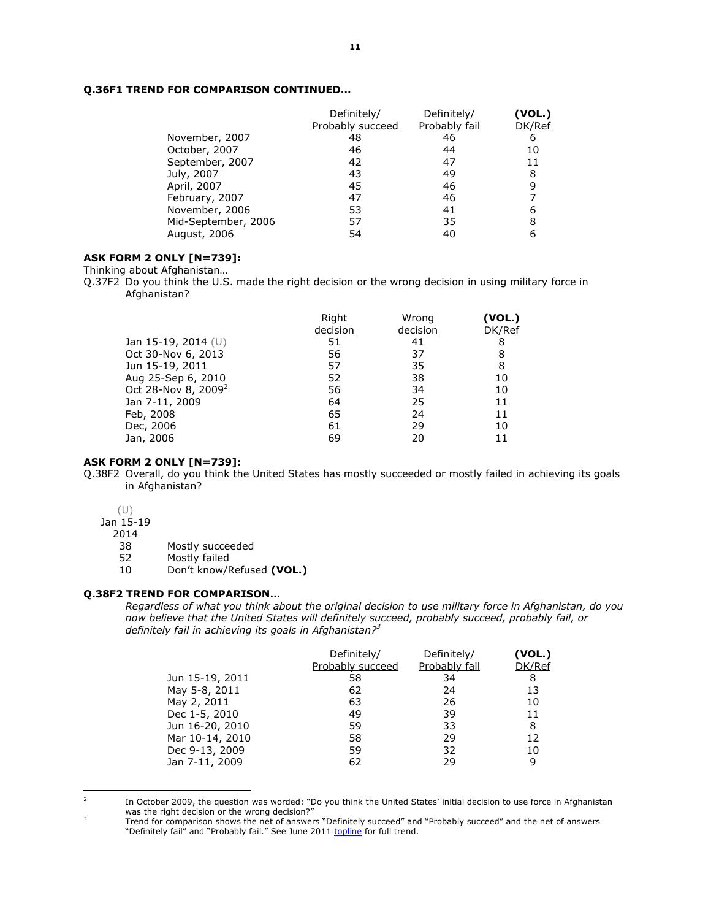#### **Q.36F1 TREND FOR COMPARISON CONTINUED…**

|                     | Definitely/<br>Probably succeed | Definitely/<br>Probably fail | (VOL.)<br>DK/Ref |
|---------------------|---------------------------------|------------------------------|------------------|
| November, 2007      | 48                              | 46                           | 6                |
| October, 2007       | 46                              | 44                           | 10               |
| September, 2007     | 42                              | 47                           | 11               |
| July, 2007          | 43                              | 49                           | 8                |
| April, 2007         | 45                              | 46                           | 9                |
| February, 2007      | 47                              | 46                           |                  |
| November, 2006      | 53                              | 41                           | 6                |
| Mid-September, 2006 | 57                              | 35                           | 8                |
| August, 2006        | 54                              | 40                           |                  |

#### **ASK FORM 2 ONLY [N=739]:**

Thinking about Afghanistan…

Q.37F2 Do you think the U.S. made the right decision or the wrong decision in using military force in Afghanistan?

|                                 | Right<br>decision | Wrong<br>decision | (VOL.)<br>DK/Ref |
|---------------------------------|-------------------|-------------------|------------------|
| Jan 15-19, 2014 $(U)$           | 51                | 41                | 8                |
| Oct 30-Nov 6, 2013              | 56                | 37                | 8                |
| Jun 15-19, 2011                 | 57                | 35                | 8                |
| Aug 25-Sep 6, 2010              | 52                | 38                | 10               |
| Oct 28-Nov 8, 2009 <sup>2</sup> | 56                | 34                | 10               |
| Jan 7-11, 2009                  | 64                | 25                | 11               |
| Feb, 2008                       | 65                | 24                | 11               |
| Dec, 2006                       | 61                | 29                | 10               |
| Jan, 2006                       | 69                | 20                |                  |

#### **ASK FORM 2 ONLY [N=739]:**

Q.38F2 Overall, do you think the United States has mostly succeeded or mostly failed in achieving its goals in Afghanistan?

(U)

Jan 15-19

2014

38 Mostly succeeded

52 Mostly failed

10 Don't know/Refused **(VOL.)** 

#### **Q.38F2 TREND FOR COMPARISON…**

*Regardless of what you think about the original decision to use military force in Afghanistan, do you now believe that the United States will definitely succeed, probably succeed, probably fail, or definitely fail in achieving its goals in Afghanistan?<sup>3</sup>*

|                 | Definitely/      | Definitely/   | (VOL.) |
|-----------------|------------------|---------------|--------|
|                 | Probably succeed | Probably fail | DK/Ref |
| Jun 15-19, 2011 | 58               | 34            | 8      |
| May 5-8, 2011   | 62               | 24            | 13     |
| May 2, 2011     | 63               | 26            | 10     |
| Dec 1-5, 2010   | 49               | 39            | 11     |
| Jun 16-20, 2010 | 59               | 33            | 8      |
| Mar 10-14, 2010 | 58               | 29            | 12     |
| Dec 9-13, 2009  | 59               | 32            | 10     |
| Jan 7-11, 2009  | 62               | 29            | 9      |

<sup>2</sup> 

In October 2009, the question was worded: "Do you think the United States' initial decision to use force in Afghanistan was the right decision or the wrong decision?" 3

Trend for comparison shows the net of answers "Definitely succeed" and "Probably succeed" and the net of answers "Definitely fail" and "Probably fail." See June 2011 [topline](http://www.people-press.org/files/legacy-questionnaires/Afghan%20topline%20for%20release.pdf) for full trend.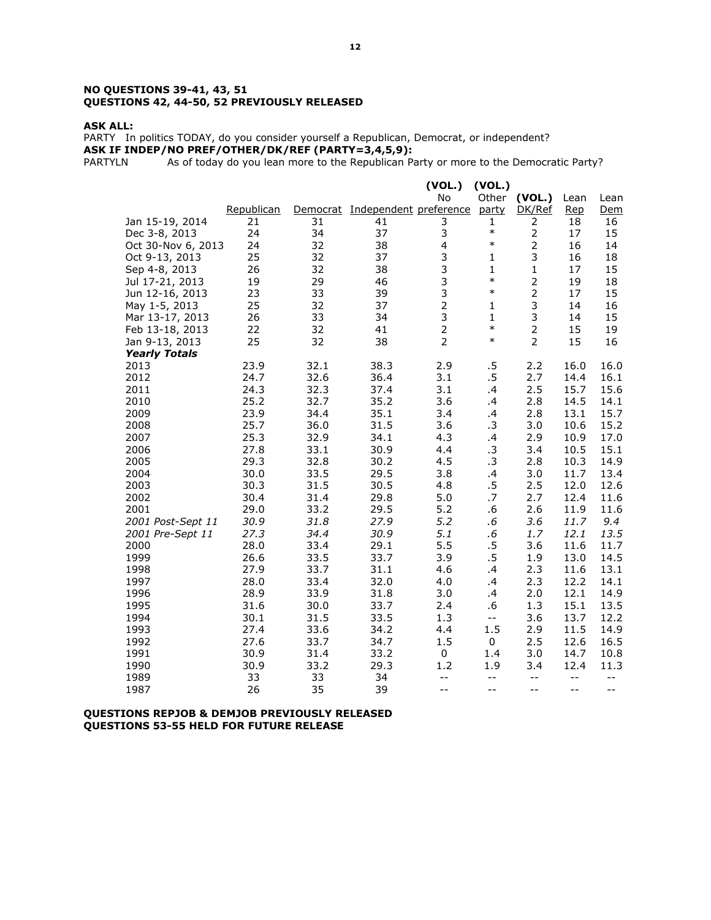#### **NO QUESTIONS 39-41, 43, 51 QUESTIONS 42, 44-50, 52 PREVIOUSLY RELEASED**

#### **ASK ALL:**

PARTY In politics TODAY, do you consider yourself a Republican, Democrat, or independent? **ASK IF INDEP/NO PREF/OTHER/DK/REF (PARTY=3,4,5,9):** 

PARTYLN As of today do you lean more to the Republican Party or more to the Democratic Party?

|                      |            |      |                                 | (VOL.)                  | (VOL.)       |                |            |      |
|----------------------|------------|------|---------------------------------|-------------------------|--------------|----------------|------------|------|
|                      |            |      |                                 | No                      |              | Other (VOL.)   | Lean       | Lean |
|                      | Republican |      | Democrat Independent preference |                         | party        | DK/Ref         | <b>Rep</b> | Dem  |
| Jan 15-19, 2014      | 21         | 31   | 41                              | 3                       | $\mathbf{1}$ | 2              | 18         | 16   |
| Dec 3-8, 2013        | 24         | 34   | 37                              | 3                       | $\ast$       | $\overline{2}$ | 17         | 15   |
| Oct 30-Nov 6, 2013   | 24         | 32   | 38                              | $\overline{\mathbf{4}}$ | $\ast$       | $\mathbf 2$    | 16         | 14   |
| Oct 9-13, 2013       | 25         | 32   | 37                              | 3                       | $\mathbf{1}$ | 3              | 16         | 18   |
| Sep 4-8, 2013        | 26         | 32   | 38                              | $\frac{3}{3}$           | $\mathbf{1}$ | $\mathbf 1$    | 17         | 15   |
| Jul 17-21, 2013      | 19         | 29   | 46                              |                         | $\ast$       | $\overline{2}$ | 19         | 18   |
| Jun 12-16, 2013      | 23         | 33   | 39                              | 3                       | $\ast$       | $\overline{2}$ | 17         | 15   |
| May 1-5, 2013        | 25         | 32   | 37                              | $\overline{2}$          | $\mathbf{1}$ | 3              | 14         | 16   |
| Mar 13-17, 2013      | 26         | 33   | 34                              | $\frac{3}{2}$           | $\mathbf{1}$ | 3              | 14         | 15   |
| Feb 13-18, 2013      | 22         | 32   | 41                              |                         | $\ast$       | $\overline{2}$ | 15         | 19   |
| Jan 9-13, 2013       | 25         | 32   | 38                              | $\overline{2}$          | $\ast$       | $\overline{2}$ | 15         | 16   |
| <b>Yearly Totals</b> |            |      |                                 |                         |              |                |            |      |
| 2013                 | 23.9       | 32.1 | 38.3                            | 2.9                     | $.5\,$       | 2.2            | 16.0       | 16.0 |
| 2012                 | 24.7       | 32.6 | 36.4                            | 3.1                     | $.5\,$       | 2.7            | 14.4       | 16.1 |
| 2011                 | 24.3       | 32.3 | 37.4                            | 3.1                     | .4           | 2.5            | 15.7       | 15.6 |
| 2010                 | 25.2       | 32.7 | 35.2                            | 3.6                     | .4           | 2.8            | 14.5       | 14.1 |
| 2009                 | 23.9       | 34.4 | 35.1                            | 3.4                     | .4           | 2.8            | 13.1       | 15.7 |
| 2008                 | 25.7       | 36.0 | 31.5                            | 3.6                     | .3           | 3.0            | 10.6       | 15.2 |
| 2007                 | 25.3       | 32.9 | 34.1                            | 4.3                     | .4           | 2.9            | 10.9       | 17.0 |
| 2006                 | 27.8       | 33.1 | 30.9                            | 4.4                     | .3           | 3.4            | 10.5       | 15.1 |
| 2005                 | 29.3       | 32.8 | 30.2                            | 4.5                     | .3           | 2.8            | 10.3       | 14.9 |
| 2004                 | 30.0       | 33.5 | 29.5                            | 3.8                     | .4           | 3.0            | 11.7       | 13.4 |
| 2003                 | 30.3       | 31.5 | 30.5                            | 4.8                     | $.5\,$       | 2.5            | 12.0       | 12.6 |
| 2002                 | 30.4       | 31.4 | 29.8                            | 5.0                     | .7           | 2.7            | 12.4       | 11.6 |
| 2001                 | 29.0       | 33.2 | 29.5                            | 5.2                     | .6           | 2.6            | 11.9       | 11.6 |
| 2001 Post-Sept 11    | 30.9       | 31.8 | 27.9                            | 5.2                     | .6           | 3.6            | 11.7       | 9.4  |
| 2001 Pre-Sept 11     | 27.3       | 34.4 | 30.9                            | 5.1                     | $.6\,$       | 1.7            | 12.1       | 13.5 |
| 2000                 | 28.0       | 33.4 | 29.1                            | 5.5                     | $.5\,$       | 3.6            | 11.6       | 11.7 |
| 1999                 | 26.6       | 33.5 | 33.7                            | 3.9                     | $.5\,$       | 1.9            | 13.0       | 14.5 |
| 1998                 | 27.9       | 33.7 | 31.1                            | 4.6                     | .4           | 2.3            | 11.6       | 13.1 |
| 1997                 | 28.0       | 33.4 | 32.0                            | 4.0                     | .4           | 2.3            | 12.2       | 14.1 |
| 1996                 | 28.9       | 33.9 | 31.8                            | 3.0                     | .4           | 2.0            | 12.1       | 14.9 |
| 1995                 | 31.6       | 30.0 | 33.7                            | 2.4                     | .6           | 1.3            | 15.1       | 13.5 |
| 1994                 | 30.1       | 31.5 | 33.5                            | 1.3                     | $-$          | 3.6            | 13.7       | 12.2 |
| 1993                 | 27.4       | 33.6 | 34.2                            | 4.4                     | 1.5          | 2.9            | 11.5       | 14.9 |
| 1992                 | 27.6       | 33.7 | 34.7                            | 1.5                     | 0            | 2.5            | 12.6       | 16.5 |
| 1991                 | 30.9       | 31.4 | 33.2                            | $\mathsf 0$             | $1.4\,$      | 3.0            | 14.7       | 10.8 |
| 1990                 | 30.9       | 33.2 | 29.3                            | 1.2                     | 1.9          | 3.4            | 12.4       | 11.3 |
| 1989                 | 33         | 33   | 34                              | $- -$                   | $-$          | $-$            | $-$        | $-$  |
| 1987                 | 26         | 35   | 39                              | $-$                     | $-$          | $-$            | $-$        | $-$  |

#### **QUESTIONS REPJOB & DEMJOB PREVIOUSLY RELEASED QUESTIONS 53-55 HELD FOR FUTURE RELEASE**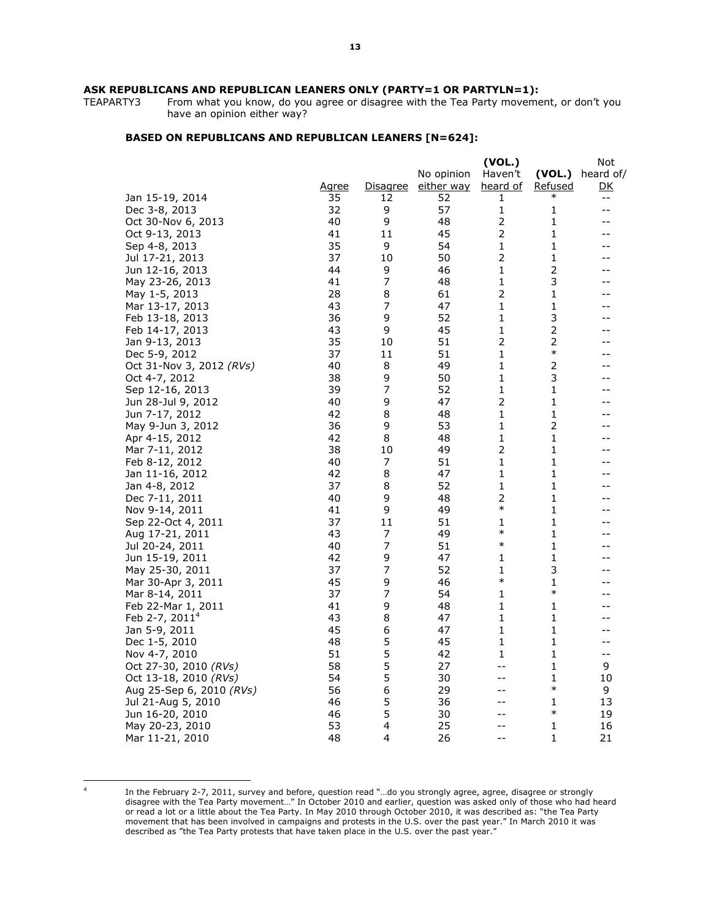From what you know, do you agree or disagree with the Tea Party movement, or don't you have an opinion either way?

#### **BASED ON REPUBLICANS AND REPUBLICAN LEANERS [N=624]:**

| No opinion<br>Haven't<br>$(VOL.)$ heard of/<br>either way<br>heard of<br><u>Agree</u><br><u>Disagree</u><br><u>Refused</u><br><u>DK</u><br>35<br>12<br>Jan 15-19, 2014<br>52<br>1<br>$- -$<br>57<br>32<br>9<br>1<br>Dec 3-8, 2013<br>1<br>$-$<br>9<br>$\overline{2}$<br>40<br>48<br>1<br>Oct 30-Nov 6, 2013<br>--<br>45<br>2<br>Oct 9-13, 2013<br>41<br>11<br>1<br>35<br>9<br>54<br>1<br>1<br>Sep 4-8, 2013<br>$\overline{2}$<br>37<br>50<br>1<br>Jul 17-21, 2013<br>10<br>--<br>2<br>44<br>9<br>46<br>1<br>Jun 12-16, 2013<br>--<br>$\overline{7}$<br>3<br>48<br>1<br>May 23-26, 2013<br>41<br>--<br>2<br>8<br>1<br>May 1-5, 2013<br>28<br>61<br>--<br>7<br>43<br>47<br>1<br>1<br>Mar 13-17, 2013<br>--<br>9<br>52<br>3<br>Feb 13-18, 2013<br>36<br>1<br>9<br>45<br>1<br>2<br>Feb 14-17, 2013<br>43<br>$\overline{2}$<br>$\mathbf 2$<br>Jan 9-13, 2013<br>35<br>51<br>10<br>$\ast$<br>37<br>51<br>1<br>Dec 5-9, 2012<br>11<br>$\mathbf{1}$<br>2<br>40<br>8<br>49<br>Oct 31-Nov 3, 2012 (RVs)<br>$\mathbf{1}$<br>3<br>38<br>9<br>50<br>Oct 4-7, 2012<br>7<br>$\mathbf{1}$<br>$\mathbf{1}$<br>39<br>52<br>Sep 12-16, 2013<br>--<br>$\overline{2}$<br>40<br>9<br>47<br>1<br>Jun 28-Jul 9, 2012<br>--<br>8<br>1<br>1<br>Jun 7-17, 2012<br>42<br>48<br>--<br>$\overline{2}$<br>May 9-Jun 3, 2012<br>36<br>9<br>53<br>1<br>--<br>42<br>8<br>48<br>1<br>1<br>Apr 4-15, 2012<br>--<br>$\overline{2}$<br>38<br>10<br>49<br>1<br>Mar 7-11, 2012<br>--<br>40<br>7<br>51<br>1<br>1<br>Feb 8-12, 2012<br>--<br>42<br>8<br>47<br>1<br>1<br>Jan 11-16, 2012<br>52<br>1<br>1<br>37<br>8<br>Jan 4-8, 2012<br>2<br>$\mathbf{1}$<br>9<br>48<br>Dec 7-11, 2011<br>40<br>--<br>$\ast$<br>9<br>49<br>1<br>41<br>Nov 9-14, 2011<br>--<br>$\mathbf{1}$<br>37<br>51<br>1<br>Sep 22-Oct 4, 2011<br>11<br>--<br>$\ast$<br>1<br>Aug 17-21, 2011<br>43<br>7<br>49<br>--<br>$\ast$<br>7<br>40<br>51<br>1<br>Jul 20-24, 2011<br>--<br>42<br>9<br>47<br>1<br>1<br>Jun 15-19, 2011<br>--<br>7<br>52<br>1<br>3<br>May 25-30, 2011<br>37<br>$\ast$<br>45<br>9<br>46<br>1<br>Mar 30-Apr 3, 2011<br>7<br>$\ast$<br>37<br>54<br>1<br>Mar 8-14, 2011<br>41<br>9<br>48<br>1<br>1<br>Feb 22-Mar 1, 2011<br>Feb 2-7, 2011 <sup>4</sup><br>43<br>8<br>47<br>1<br>1<br>1<br>1<br>45<br>6<br>47<br>Jan 5-9, 2011<br>--<br>5<br>Dec 1-5, 2010<br>48<br>45<br>1<br>1<br>--<br>5<br>Nov 4-7, 2010<br>51<br>42<br>1<br>1<br>$-\,-$<br>5<br>58<br>27<br>9<br>Oct 27-30, 2010 (RVs)<br>1<br>$- -$<br>5<br>54<br>30<br>1<br>Oct 13-18, 2010 (RVs)<br>10<br>$- -$<br>6<br>$\ast$<br>56<br>29<br>9<br>Aug 25-Sep 6, 2010 <i>(RVs)</i><br>--<br>5<br>46<br>36<br>13<br>Jul 21-Aug 5, 2010<br>1<br>$- -$<br>5<br>$\ast$<br>46<br>30<br>19<br>Jun 16-20, 2010<br>$-1$<br>53<br>4<br>25<br>May 20-23, 2010<br>1<br>16<br>--<br>$\mathbf{1}$<br>48<br>4<br>26<br>21<br>Mar 11-21, 2010<br>$-$ |  |  | (VOL.) | Not |
|-------------------------------------------------------------------------------------------------------------------------------------------------------------------------------------------------------------------------------------------------------------------------------------------------------------------------------------------------------------------------------------------------------------------------------------------------------------------------------------------------------------------------------------------------------------------------------------------------------------------------------------------------------------------------------------------------------------------------------------------------------------------------------------------------------------------------------------------------------------------------------------------------------------------------------------------------------------------------------------------------------------------------------------------------------------------------------------------------------------------------------------------------------------------------------------------------------------------------------------------------------------------------------------------------------------------------------------------------------------------------------------------------------------------------------------------------------------------------------------------------------------------------------------------------------------------------------------------------------------------------------------------------------------------------------------------------------------------------------------------------------------------------------------------------------------------------------------------------------------------------------------------------------------------------------------------------------------------------------------------------------------------------------------------------------------------------------------------------------------------------------------------------------------------------------------------------------------------------------------------------------------------------------------------------------------------------------------------------------------------------------------------------------------------------------------------------------------------------------------------------------------------------------------------------------------------------------------------------------------------------------------------------------------------------------------------------------------------------------------------------------------------------------------------------------------------------------------|--|--|--------|-----|
|                                                                                                                                                                                                                                                                                                                                                                                                                                                                                                                                                                                                                                                                                                                                                                                                                                                                                                                                                                                                                                                                                                                                                                                                                                                                                                                                                                                                                                                                                                                                                                                                                                                                                                                                                                                                                                                                                                                                                                                                                                                                                                                                                                                                                                                                                                                                                                                                                                                                                                                                                                                                                                                                                                                                                                                                                                     |  |  |        |     |
|                                                                                                                                                                                                                                                                                                                                                                                                                                                                                                                                                                                                                                                                                                                                                                                                                                                                                                                                                                                                                                                                                                                                                                                                                                                                                                                                                                                                                                                                                                                                                                                                                                                                                                                                                                                                                                                                                                                                                                                                                                                                                                                                                                                                                                                                                                                                                                                                                                                                                                                                                                                                                                                                                                                                                                                                                                     |  |  |        |     |
|                                                                                                                                                                                                                                                                                                                                                                                                                                                                                                                                                                                                                                                                                                                                                                                                                                                                                                                                                                                                                                                                                                                                                                                                                                                                                                                                                                                                                                                                                                                                                                                                                                                                                                                                                                                                                                                                                                                                                                                                                                                                                                                                                                                                                                                                                                                                                                                                                                                                                                                                                                                                                                                                                                                                                                                                                                     |  |  |        |     |
|                                                                                                                                                                                                                                                                                                                                                                                                                                                                                                                                                                                                                                                                                                                                                                                                                                                                                                                                                                                                                                                                                                                                                                                                                                                                                                                                                                                                                                                                                                                                                                                                                                                                                                                                                                                                                                                                                                                                                                                                                                                                                                                                                                                                                                                                                                                                                                                                                                                                                                                                                                                                                                                                                                                                                                                                                                     |  |  |        |     |
|                                                                                                                                                                                                                                                                                                                                                                                                                                                                                                                                                                                                                                                                                                                                                                                                                                                                                                                                                                                                                                                                                                                                                                                                                                                                                                                                                                                                                                                                                                                                                                                                                                                                                                                                                                                                                                                                                                                                                                                                                                                                                                                                                                                                                                                                                                                                                                                                                                                                                                                                                                                                                                                                                                                                                                                                                                     |  |  |        |     |
|                                                                                                                                                                                                                                                                                                                                                                                                                                                                                                                                                                                                                                                                                                                                                                                                                                                                                                                                                                                                                                                                                                                                                                                                                                                                                                                                                                                                                                                                                                                                                                                                                                                                                                                                                                                                                                                                                                                                                                                                                                                                                                                                                                                                                                                                                                                                                                                                                                                                                                                                                                                                                                                                                                                                                                                                                                     |  |  |        |     |
|                                                                                                                                                                                                                                                                                                                                                                                                                                                                                                                                                                                                                                                                                                                                                                                                                                                                                                                                                                                                                                                                                                                                                                                                                                                                                                                                                                                                                                                                                                                                                                                                                                                                                                                                                                                                                                                                                                                                                                                                                                                                                                                                                                                                                                                                                                                                                                                                                                                                                                                                                                                                                                                                                                                                                                                                                                     |  |  |        |     |
|                                                                                                                                                                                                                                                                                                                                                                                                                                                                                                                                                                                                                                                                                                                                                                                                                                                                                                                                                                                                                                                                                                                                                                                                                                                                                                                                                                                                                                                                                                                                                                                                                                                                                                                                                                                                                                                                                                                                                                                                                                                                                                                                                                                                                                                                                                                                                                                                                                                                                                                                                                                                                                                                                                                                                                                                                                     |  |  |        |     |
|                                                                                                                                                                                                                                                                                                                                                                                                                                                                                                                                                                                                                                                                                                                                                                                                                                                                                                                                                                                                                                                                                                                                                                                                                                                                                                                                                                                                                                                                                                                                                                                                                                                                                                                                                                                                                                                                                                                                                                                                                                                                                                                                                                                                                                                                                                                                                                                                                                                                                                                                                                                                                                                                                                                                                                                                                                     |  |  |        |     |
|                                                                                                                                                                                                                                                                                                                                                                                                                                                                                                                                                                                                                                                                                                                                                                                                                                                                                                                                                                                                                                                                                                                                                                                                                                                                                                                                                                                                                                                                                                                                                                                                                                                                                                                                                                                                                                                                                                                                                                                                                                                                                                                                                                                                                                                                                                                                                                                                                                                                                                                                                                                                                                                                                                                                                                                                                                     |  |  |        |     |
|                                                                                                                                                                                                                                                                                                                                                                                                                                                                                                                                                                                                                                                                                                                                                                                                                                                                                                                                                                                                                                                                                                                                                                                                                                                                                                                                                                                                                                                                                                                                                                                                                                                                                                                                                                                                                                                                                                                                                                                                                                                                                                                                                                                                                                                                                                                                                                                                                                                                                                                                                                                                                                                                                                                                                                                                                                     |  |  |        |     |
|                                                                                                                                                                                                                                                                                                                                                                                                                                                                                                                                                                                                                                                                                                                                                                                                                                                                                                                                                                                                                                                                                                                                                                                                                                                                                                                                                                                                                                                                                                                                                                                                                                                                                                                                                                                                                                                                                                                                                                                                                                                                                                                                                                                                                                                                                                                                                                                                                                                                                                                                                                                                                                                                                                                                                                                                                                     |  |  |        |     |
|                                                                                                                                                                                                                                                                                                                                                                                                                                                                                                                                                                                                                                                                                                                                                                                                                                                                                                                                                                                                                                                                                                                                                                                                                                                                                                                                                                                                                                                                                                                                                                                                                                                                                                                                                                                                                                                                                                                                                                                                                                                                                                                                                                                                                                                                                                                                                                                                                                                                                                                                                                                                                                                                                                                                                                                                                                     |  |  |        |     |
|                                                                                                                                                                                                                                                                                                                                                                                                                                                                                                                                                                                                                                                                                                                                                                                                                                                                                                                                                                                                                                                                                                                                                                                                                                                                                                                                                                                                                                                                                                                                                                                                                                                                                                                                                                                                                                                                                                                                                                                                                                                                                                                                                                                                                                                                                                                                                                                                                                                                                                                                                                                                                                                                                                                                                                                                                                     |  |  |        |     |
|                                                                                                                                                                                                                                                                                                                                                                                                                                                                                                                                                                                                                                                                                                                                                                                                                                                                                                                                                                                                                                                                                                                                                                                                                                                                                                                                                                                                                                                                                                                                                                                                                                                                                                                                                                                                                                                                                                                                                                                                                                                                                                                                                                                                                                                                                                                                                                                                                                                                                                                                                                                                                                                                                                                                                                                                                                     |  |  |        |     |
|                                                                                                                                                                                                                                                                                                                                                                                                                                                                                                                                                                                                                                                                                                                                                                                                                                                                                                                                                                                                                                                                                                                                                                                                                                                                                                                                                                                                                                                                                                                                                                                                                                                                                                                                                                                                                                                                                                                                                                                                                                                                                                                                                                                                                                                                                                                                                                                                                                                                                                                                                                                                                                                                                                                                                                                                                                     |  |  |        |     |
|                                                                                                                                                                                                                                                                                                                                                                                                                                                                                                                                                                                                                                                                                                                                                                                                                                                                                                                                                                                                                                                                                                                                                                                                                                                                                                                                                                                                                                                                                                                                                                                                                                                                                                                                                                                                                                                                                                                                                                                                                                                                                                                                                                                                                                                                                                                                                                                                                                                                                                                                                                                                                                                                                                                                                                                                                                     |  |  |        |     |
|                                                                                                                                                                                                                                                                                                                                                                                                                                                                                                                                                                                                                                                                                                                                                                                                                                                                                                                                                                                                                                                                                                                                                                                                                                                                                                                                                                                                                                                                                                                                                                                                                                                                                                                                                                                                                                                                                                                                                                                                                                                                                                                                                                                                                                                                                                                                                                                                                                                                                                                                                                                                                                                                                                                                                                                                                                     |  |  |        |     |
|                                                                                                                                                                                                                                                                                                                                                                                                                                                                                                                                                                                                                                                                                                                                                                                                                                                                                                                                                                                                                                                                                                                                                                                                                                                                                                                                                                                                                                                                                                                                                                                                                                                                                                                                                                                                                                                                                                                                                                                                                                                                                                                                                                                                                                                                                                                                                                                                                                                                                                                                                                                                                                                                                                                                                                                                                                     |  |  |        |     |
|                                                                                                                                                                                                                                                                                                                                                                                                                                                                                                                                                                                                                                                                                                                                                                                                                                                                                                                                                                                                                                                                                                                                                                                                                                                                                                                                                                                                                                                                                                                                                                                                                                                                                                                                                                                                                                                                                                                                                                                                                                                                                                                                                                                                                                                                                                                                                                                                                                                                                                                                                                                                                                                                                                                                                                                                                                     |  |  |        |     |
|                                                                                                                                                                                                                                                                                                                                                                                                                                                                                                                                                                                                                                                                                                                                                                                                                                                                                                                                                                                                                                                                                                                                                                                                                                                                                                                                                                                                                                                                                                                                                                                                                                                                                                                                                                                                                                                                                                                                                                                                                                                                                                                                                                                                                                                                                                                                                                                                                                                                                                                                                                                                                                                                                                                                                                                                                                     |  |  |        |     |
|                                                                                                                                                                                                                                                                                                                                                                                                                                                                                                                                                                                                                                                                                                                                                                                                                                                                                                                                                                                                                                                                                                                                                                                                                                                                                                                                                                                                                                                                                                                                                                                                                                                                                                                                                                                                                                                                                                                                                                                                                                                                                                                                                                                                                                                                                                                                                                                                                                                                                                                                                                                                                                                                                                                                                                                                                                     |  |  |        |     |
|                                                                                                                                                                                                                                                                                                                                                                                                                                                                                                                                                                                                                                                                                                                                                                                                                                                                                                                                                                                                                                                                                                                                                                                                                                                                                                                                                                                                                                                                                                                                                                                                                                                                                                                                                                                                                                                                                                                                                                                                                                                                                                                                                                                                                                                                                                                                                                                                                                                                                                                                                                                                                                                                                                                                                                                                                                     |  |  |        |     |
|                                                                                                                                                                                                                                                                                                                                                                                                                                                                                                                                                                                                                                                                                                                                                                                                                                                                                                                                                                                                                                                                                                                                                                                                                                                                                                                                                                                                                                                                                                                                                                                                                                                                                                                                                                                                                                                                                                                                                                                                                                                                                                                                                                                                                                                                                                                                                                                                                                                                                                                                                                                                                                                                                                                                                                                                                                     |  |  |        |     |
|                                                                                                                                                                                                                                                                                                                                                                                                                                                                                                                                                                                                                                                                                                                                                                                                                                                                                                                                                                                                                                                                                                                                                                                                                                                                                                                                                                                                                                                                                                                                                                                                                                                                                                                                                                                                                                                                                                                                                                                                                                                                                                                                                                                                                                                                                                                                                                                                                                                                                                                                                                                                                                                                                                                                                                                                                                     |  |  |        |     |
|                                                                                                                                                                                                                                                                                                                                                                                                                                                                                                                                                                                                                                                                                                                                                                                                                                                                                                                                                                                                                                                                                                                                                                                                                                                                                                                                                                                                                                                                                                                                                                                                                                                                                                                                                                                                                                                                                                                                                                                                                                                                                                                                                                                                                                                                                                                                                                                                                                                                                                                                                                                                                                                                                                                                                                                                                                     |  |  |        |     |
|                                                                                                                                                                                                                                                                                                                                                                                                                                                                                                                                                                                                                                                                                                                                                                                                                                                                                                                                                                                                                                                                                                                                                                                                                                                                                                                                                                                                                                                                                                                                                                                                                                                                                                                                                                                                                                                                                                                                                                                                                                                                                                                                                                                                                                                                                                                                                                                                                                                                                                                                                                                                                                                                                                                                                                                                                                     |  |  |        |     |
|                                                                                                                                                                                                                                                                                                                                                                                                                                                                                                                                                                                                                                                                                                                                                                                                                                                                                                                                                                                                                                                                                                                                                                                                                                                                                                                                                                                                                                                                                                                                                                                                                                                                                                                                                                                                                                                                                                                                                                                                                                                                                                                                                                                                                                                                                                                                                                                                                                                                                                                                                                                                                                                                                                                                                                                                                                     |  |  |        |     |
|                                                                                                                                                                                                                                                                                                                                                                                                                                                                                                                                                                                                                                                                                                                                                                                                                                                                                                                                                                                                                                                                                                                                                                                                                                                                                                                                                                                                                                                                                                                                                                                                                                                                                                                                                                                                                                                                                                                                                                                                                                                                                                                                                                                                                                                                                                                                                                                                                                                                                                                                                                                                                                                                                                                                                                                                                                     |  |  |        |     |
|                                                                                                                                                                                                                                                                                                                                                                                                                                                                                                                                                                                                                                                                                                                                                                                                                                                                                                                                                                                                                                                                                                                                                                                                                                                                                                                                                                                                                                                                                                                                                                                                                                                                                                                                                                                                                                                                                                                                                                                                                                                                                                                                                                                                                                                                                                                                                                                                                                                                                                                                                                                                                                                                                                                                                                                                                                     |  |  |        |     |
|                                                                                                                                                                                                                                                                                                                                                                                                                                                                                                                                                                                                                                                                                                                                                                                                                                                                                                                                                                                                                                                                                                                                                                                                                                                                                                                                                                                                                                                                                                                                                                                                                                                                                                                                                                                                                                                                                                                                                                                                                                                                                                                                                                                                                                                                                                                                                                                                                                                                                                                                                                                                                                                                                                                                                                                                                                     |  |  |        |     |
|                                                                                                                                                                                                                                                                                                                                                                                                                                                                                                                                                                                                                                                                                                                                                                                                                                                                                                                                                                                                                                                                                                                                                                                                                                                                                                                                                                                                                                                                                                                                                                                                                                                                                                                                                                                                                                                                                                                                                                                                                                                                                                                                                                                                                                                                                                                                                                                                                                                                                                                                                                                                                                                                                                                                                                                                                                     |  |  |        |     |
|                                                                                                                                                                                                                                                                                                                                                                                                                                                                                                                                                                                                                                                                                                                                                                                                                                                                                                                                                                                                                                                                                                                                                                                                                                                                                                                                                                                                                                                                                                                                                                                                                                                                                                                                                                                                                                                                                                                                                                                                                                                                                                                                                                                                                                                                                                                                                                                                                                                                                                                                                                                                                                                                                                                                                                                                                                     |  |  |        |     |
|                                                                                                                                                                                                                                                                                                                                                                                                                                                                                                                                                                                                                                                                                                                                                                                                                                                                                                                                                                                                                                                                                                                                                                                                                                                                                                                                                                                                                                                                                                                                                                                                                                                                                                                                                                                                                                                                                                                                                                                                                                                                                                                                                                                                                                                                                                                                                                                                                                                                                                                                                                                                                                                                                                                                                                                                                                     |  |  |        |     |
|                                                                                                                                                                                                                                                                                                                                                                                                                                                                                                                                                                                                                                                                                                                                                                                                                                                                                                                                                                                                                                                                                                                                                                                                                                                                                                                                                                                                                                                                                                                                                                                                                                                                                                                                                                                                                                                                                                                                                                                                                                                                                                                                                                                                                                                                                                                                                                                                                                                                                                                                                                                                                                                                                                                                                                                                                                     |  |  |        |     |
|                                                                                                                                                                                                                                                                                                                                                                                                                                                                                                                                                                                                                                                                                                                                                                                                                                                                                                                                                                                                                                                                                                                                                                                                                                                                                                                                                                                                                                                                                                                                                                                                                                                                                                                                                                                                                                                                                                                                                                                                                                                                                                                                                                                                                                                                                                                                                                                                                                                                                                                                                                                                                                                                                                                                                                                                                                     |  |  |        |     |
|                                                                                                                                                                                                                                                                                                                                                                                                                                                                                                                                                                                                                                                                                                                                                                                                                                                                                                                                                                                                                                                                                                                                                                                                                                                                                                                                                                                                                                                                                                                                                                                                                                                                                                                                                                                                                                                                                                                                                                                                                                                                                                                                                                                                                                                                                                                                                                                                                                                                                                                                                                                                                                                                                                                                                                                                                                     |  |  |        |     |
|                                                                                                                                                                                                                                                                                                                                                                                                                                                                                                                                                                                                                                                                                                                                                                                                                                                                                                                                                                                                                                                                                                                                                                                                                                                                                                                                                                                                                                                                                                                                                                                                                                                                                                                                                                                                                                                                                                                                                                                                                                                                                                                                                                                                                                                                                                                                                                                                                                                                                                                                                                                                                                                                                                                                                                                                                                     |  |  |        |     |
|                                                                                                                                                                                                                                                                                                                                                                                                                                                                                                                                                                                                                                                                                                                                                                                                                                                                                                                                                                                                                                                                                                                                                                                                                                                                                                                                                                                                                                                                                                                                                                                                                                                                                                                                                                                                                                                                                                                                                                                                                                                                                                                                                                                                                                                                                                                                                                                                                                                                                                                                                                                                                                                                                                                                                                                                                                     |  |  |        |     |
|                                                                                                                                                                                                                                                                                                                                                                                                                                                                                                                                                                                                                                                                                                                                                                                                                                                                                                                                                                                                                                                                                                                                                                                                                                                                                                                                                                                                                                                                                                                                                                                                                                                                                                                                                                                                                                                                                                                                                                                                                                                                                                                                                                                                                                                                                                                                                                                                                                                                                                                                                                                                                                                                                                                                                                                                                                     |  |  |        |     |
|                                                                                                                                                                                                                                                                                                                                                                                                                                                                                                                                                                                                                                                                                                                                                                                                                                                                                                                                                                                                                                                                                                                                                                                                                                                                                                                                                                                                                                                                                                                                                                                                                                                                                                                                                                                                                                                                                                                                                                                                                                                                                                                                                                                                                                                                                                                                                                                                                                                                                                                                                                                                                                                                                                                                                                                                                                     |  |  |        |     |
|                                                                                                                                                                                                                                                                                                                                                                                                                                                                                                                                                                                                                                                                                                                                                                                                                                                                                                                                                                                                                                                                                                                                                                                                                                                                                                                                                                                                                                                                                                                                                                                                                                                                                                                                                                                                                                                                                                                                                                                                                                                                                                                                                                                                                                                                                                                                                                                                                                                                                                                                                                                                                                                                                                                                                                                                                                     |  |  |        |     |
|                                                                                                                                                                                                                                                                                                                                                                                                                                                                                                                                                                                                                                                                                                                                                                                                                                                                                                                                                                                                                                                                                                                                                                                                                                                                                                                                                                                                                                                                                                                                                                                                                                                                                                                                                                                                                                                                                                                                                                                                                                                                                                                                                                                                                                                                                                                                                                                                                                                                                                                                                                                                                                                                                                                                                                                                                                     |  |  |        |     |
|                                                                                                                                                                                                                                                                                                                                                                                                                                                                                                                                                                                                                                                                                                                                                                                                                                                                                                                                                                                                                                                                                                                                                                                                                                                                                                                                                                                                                                                                                                                                                                                                                                                                                                                                                                                                                                                                                                                                                                                                                                                                                                                                                                                                                                                                                                                                                                                                                                                                                                                                                                                                                                                                                                                                                                                                                                     |  |  |        |     |
|                                                                                                                                                                                                                                                                                                                                                                                                                                                                                                                                                                                                                                                                                                                                                                                                                                                                                                                                                                                                                                                                                                                                                                                                                                                                                                                                                                                                                                                                                                                                                                                                                                                                                                                                                                                                                                                                                                                                                                                                                                                                                                                                                                                                                                                                                                                                                                                                                                                                                                                                                                                                                                                                                                                                                                                                                                     |  |  |        |     |
|                                                                                                                                                                                                                                                                                                                                                                                                                                                                                                                                                                                                                                                                                                                                                                                                                                                                                                                                                                                                                                                                                                                                                                                                                                                                                                                                                                                                                                                                                                                                                                                                                                                                                                                                                                                                                                                                                                                                                                                                                                                                                                                                                                                                                                                                                                                                                                                                                                                                                                                                                                                                                                                                                                                                                                                                                                     |  |  |        |     |
|                                                                                                                                                                                                                                                                                                                                                                                                                                                                                                                                                                                                                                                                                                                                                                                                                                                                                                                                                                                                                                                                                                                                                                                                                                                                                                                                                                                                                                                                                                                                                                                                                                                                                                                                                                                                                                                                                                                                                                                                                                                                                                                                                                                                                                                                                                                                                                                                                                                                                                                                                                                                                                                                                                                                                                                                                                     |  |  |        |     |

4

In the February 2-7, 2011, survey and before, question read "…do you strongly agree, agree, disagree or strongly disagree with the Tea Party movement…" In October 2010 and earlier, question was asked only of those who had heard or read a lot or a little about the Tea Party. In May 2010 through October 2010, it was described as: "the Tea Party movement that has been involved in campaigns and protests in the U.S. over the past year." In March 2010 it was described as "the Tea Party protests that have taken place in the U.S. over the past year."